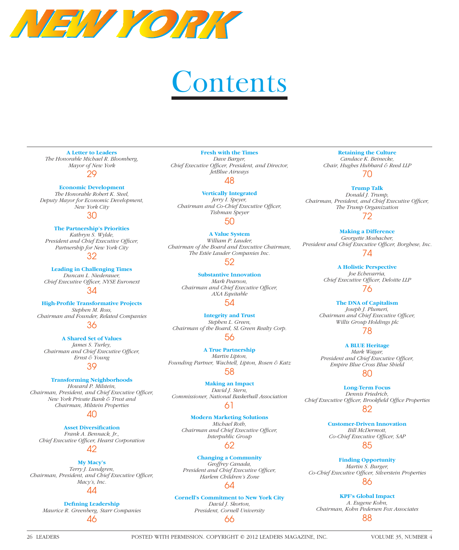

# **Contents**

#### **A Letter to Leaders** *[The Honorable Michael R. Bloomberg,](http://www.leadersmag.com/issues/2012.4_Oct/PDFs/LEADERS-Michael-Bloomberg-Mayor-New-York-City.pdf)*

*Mayor of New York* 29

## **Economic Development**

*The Honorable Robert K. Steel, [Deputy Mayor for Economic Development,](http://www.leadersmag.com/issues/2012.4_Oct/New%20York%20City/LEADERS-Robert-Steel-Deputy-Mayor-New-York-City.html)  New York City*

# 30

**The Partnership's Priorities** *Kathryn S. Wylde, President and Chief Executive Officer, Partnership for New York City*

# 32

**Leading in Challenging Times** *Duncan L. Niederauer,*  **Chief Executive Officer, NYSE Euronext** 

34

**High-Profile Transformative Projects** *Stephen M. Ross, [Chairman and Founder, Related Companies](http://www.leadersmag.com/issues/2012.4_Oct/New%20York%20City/LEADERS-Stephen-Ross-Related-Companies.html)* 36

#### **A Shared Set of Values** *James S. Turley, Chairman and Chief Executive Officer, Ernst & Young*

39

## **Transforming Neighborhoods**

*Howard P. Milstein, Chairman, President, and Chief Executive Officer, New York Private Bank & Trust and Chairman, Milstein Properties*

# 40

**Asset Diversification** *Frank A. Bennack, Jr.,*  **Chief Executive Officer, Hearst Corporation** 

# 42

**My Macy's** *Terry J. Lundgren, Chairman, President, and Chief Executive Officer, Macy's, Inc.*

44

# **Defining Leadership** *[Maurice R. Greenberg, Starr Companies](http://www.leadersmag.com/issues/2012.4_Oct/New%20York%20City/LEADERS-Maurice-Greenberg-Starr-Companies.html)* 46

**Fresh with the Times** *Dave Barger, Chief Executive Officer, President, and Director, JetBlue Airways*

48

**Vertically Integrated** *Jerry I. Speyer, Chairman and Co-Chief Executive Officer, Tishman Speyer* 50

**A Value System** *William P. Lauder, [Chairman of the Board and Executive Chairman,](http://www.leadersmag.com/issues/2012.4_Oct/New%20York%20City/LEADERS-William-Lauder-Est%C3%A9e-Lauder-Companies.html)  The Estée Lauder Companies Inc.*

# 52

**Substantive Innovation** *Mark Pearson, Chairman and Chief Executive Officer, AXA Equitable* 54

**Integrity and Trust** *Stephen L. Green, [Chairman of the Board, SL Green Realty Corp.](http://www.leadersmag.com/issues/2012.4_Oct/New%20York%20City/LEADERS-Stephen-Green-SL-Green-Realty-Corp.html)* 56

**A True Partnership** *Martin Lipton, [Founding Partner, Wachtell, Lipton, Rosen & Katz](http://www.leadersmag.com/issues/2012.4_Oct/New%20York%20City/LEADERS-Martin-Lipton-Wachtell-Lipton-Rosen-Katz.html)* 58

**Making an Impact** *David J. Stern, [Commissioner, National Basketball Association](http://www.leadersmag.com/issues/2012.4_Oct/New%20York%20City/LEADERS-David-Stern-National-Basketball-Association.html)*

61

**Modern Marketing Solutions** *Michael Roth, Chairman and Chief Executive Officer, Interpublic Group*

# 62

**Changing a Community** *Geoffrey Canada,*  **President and Chief Executive Officer,** *Harlem Children's Zone*

# 64

## **[Cornell's Commitment to New York City](http://www.leadersmag.com/issues/2012.4_Oct/New%20York%20City/LEADERS-David-Skorton-Cornell-University.html)**

*David J. Skorton, President, Cornell University* 66

# **Retaining the Culture** *Candace K. Beinecke, [Chair, Hughes Hubbard & Reed LLP](http://www.leadersmag.com/issues/2012.4_Oct/New%20York%20City/LEADERS-Candace-Beinecke-Hughes-Hubbard-Reed.html)*

70

**Trump Talk** *Donald J. Trump, Chairman, President, and Chief Executive Officer, The Trump Organization*

72

**Making a Difference** *Georgette Mosbacher,*  President and Chief Executive Officer, Borghese, Inc. 74

> **A Holistic Perspective** *Joe Echevarria, Chief Executive Officer, Deloitte LLP* 76

**The DNA of Capitalism** *Joseph J. Plumeri, Chairman and Chief Executive Officer, Willis Group Holdings plc* 78

**A BLUE Heritage** *Mark Wagar,*  President and Chief Executive Officer, *Empire Blue Cross Blue Shield*

# 80

**Long-Term Focus** *Dennis Friedrich, Chief Executive Officer, Brookfield Office Properties* 

82

**[Customer-Driven Innovation](http://www.leadersmag.com/issues/2012.4_Oct/New%20York%20City/LEADERS-Bill-McDermott-SAP.html)** *Bill McDermott,*  Co-Chief Executive Officer, SAP

85

**Finding Opportunity** *Martin S. Burger, [Co-Chief Executive Offi cer, Silverstein Properties](http://www.leadersmag.com/issues/2012.4_Oct/New%20York%20City/LEADERS-Martin-Burger-Silverstein-Properties.html)* 86

**KPF's Global Impact** *A. Eugene Kohn, [Chairman, Kohn Pedersen Fox Associates](http://www.leadersmag.com/issues/2012.4_Oct/New%20York%20City/LEADERS-Eugene-Kohn-Kohn-Pedersen-Fox-KPF.html)* 88

26 LEADERS POSTED WITH PERMISSION. COPYRIGHT © 2012 LEADERS MAGAZINE, INC. VOLUME 35, NUMBER 4